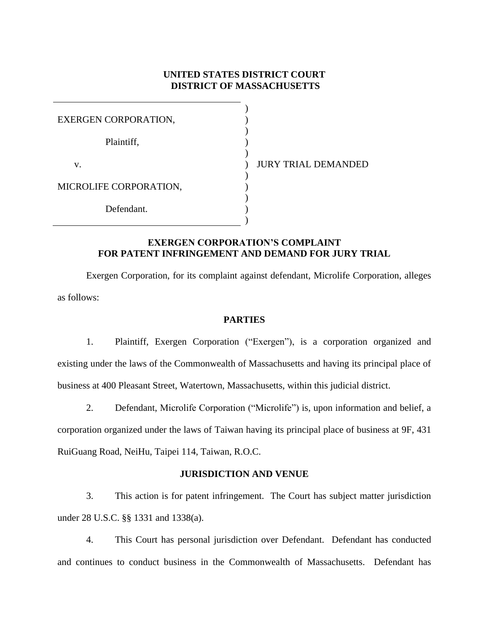### **UNITED STATES DISTRICT COURT DISTRICT OF MASSACHUSETTS**

| <b>EXERGEN CORPORATION,</b> |  |
|-----------------------------|--|
| Plaintiff,                  |  |
| V.                          |  |
| MICROLIFE CORPORATION,      |  |
| Defendant.                  |  |

JURY TRIAL DEMANDED

### **EXERGEN CORPORATION'S COMPLAINT FOR PATENT INFRINGEMENT AND DEMAND FOR JURY TRIAL**

Exergen Corporation, for its complaint against defendant, Microlife Corporation, alleges as follows:

#### **PARTIES**

1. Plaintiff, Exergen Corporation ("Exergen"), is a corporation organized and existing under the laws of the Commonwealth of Massachusetts and having its principal place of business at 400 Pleasant Street, Watertown, Massachusetts, within this judicial district.

2. Defendant, Microlife Corporation ("Microlife") is, upon information and belief, a corporation organized under the laws of Taiwan having its principal place of business at 9F, 431 RuiGuang Road, NeiHu, Taipei 114, Taiwan, R.O.C.

## **JURISDICTION AND VENUE**

3. This action is for patent infringement. The Court has subject matter jurisdiction under 28 U.S.C. §§ 1331 and 1338(a).

4. This Court has personal jurisdiction over Defendant. Defendant has conducted and continues to conduct business in the Commonwealth of Massachusetts. Defendant has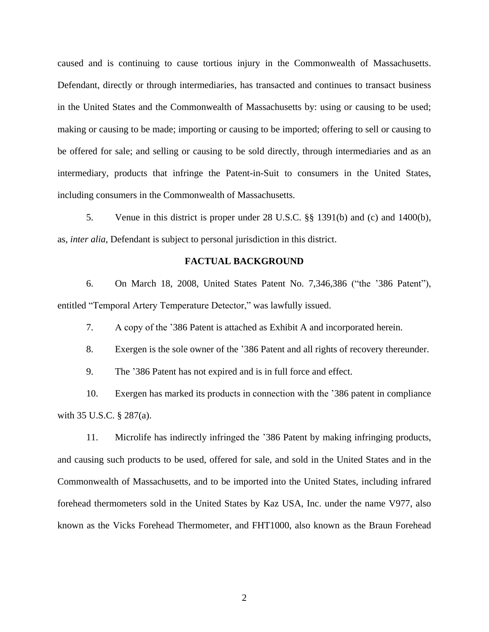caused and is continuing to cause tortious injury in the Commonwealth of Massachusetts. Defendant, directly or through intermediaries, has transacted and continues to transact business in the United States and the Commonwealth of Massachusetts by: using or causing to be used; making or causing to be made; importing or causing to be imported; offering to sell or causing to be offered for sale; and selling or causing to be sold directly, through intermediaries and as an intermediary, products that infringe the Patent-in-Suit to consumers in the United States, including consumers in the Commonwealth of Massachusetts.

5. Venue in this district is proper under 28 U.S.C. §§ 1391(b) and (c) and 1400(b), as, *inter alia*, Defendant is subject to personal jurisdiction in this district.

#### **FACTUAL BACKGROUND**

6. On March 18, 2008, United States Patent No. 7,346,386 ("the '386 Patent"), entitled "Temporal Artery Temperature Detector," was lawfully issued.

7. A copy of the '386 Patent is attached as Exhibit A and incorporated herein.

8. Exergen is the sole owner of the '386 Patent and all rights of recovery thereunder.

9. The '386 Patent has not expired and is in full force and effect.

10. Exergen has marked its products in connection with the '386 patent in compliance with 35 U.S.C. § 287(a).

11. Microlife has indirectly infringed the '386 Patent by making infringing products, and causing such products to be used, offered for sale, and sold in the United States and in the Commonwealth of Massachusetts, and to be imported into the United States, including infrared forehead thermometers sold in the United States by Kaz USA, Inc. under the name V977, also known as the Vicks Forehead Thermometer, and FHT1000, also known as the Braun Forehead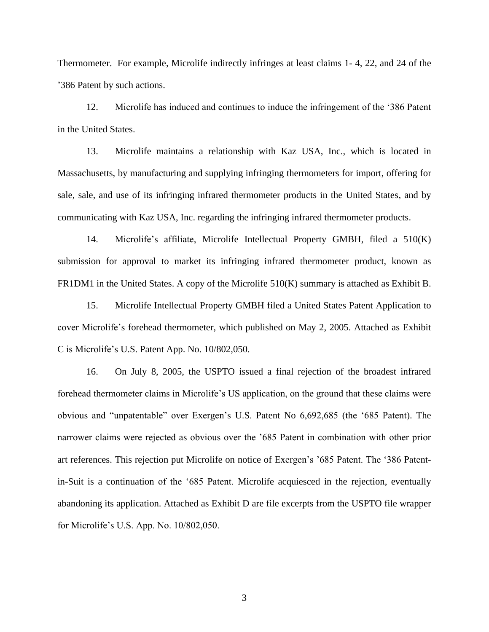Thermometer. For example, Microlife indirectly infringes at least claims 1- 4, 22, and 24 of the '386 Patent by such actions.

12. Microlife has induced and continues to induce the infringement of the '386 Patent in the United States.

13. Microlife maintains a relationship with Kaz USA, Inc., which is located in Massachusetts, by manufacturing and supplying infringing thermometers for import, offering for sale, sale, and use of its infringing infrared thermometer products in the United States, and by communicating with Kaz USA, Inc. regarding the infringing infrared thermometer products.

14. Microlife's affiliate, Microlife Intellectual Property GMBH, filed a 510(K) submission for approval to market its infringing infrared thermometer product, known as FR1DM1 in the United States. A copy of the Microlife 510(K) summary is attached as Exhibit B.

15. Microlife Intellectual Property GMBH filed a United States Patent Application to cover Microlife's forehead thermometer, which published on May 2, 2005. Attached as Exhibit C is Microlife's U.S. Patent App. No. 10/802,050.

16. On July 8, 2005, the USPTO issued a final rejection of the broadest infrared forehead thermometer claims in Microlife's US application, on the ground that these claims were obvious and "unpatentable" over Exergen's U.S. Patent No 6,692,685 (the '685 Patent). The narrower claims were rejected as obvious over the '685 Patent in combination with other prior art references. This rejection put Microlife on notice of Exergen's '685 Patent. The '386 Patentin-Suit is a continuation of the '685 Patent. Microlife acquiesced in the rejection, eventually abandoning its application. Attached as Exhibit D are file excerpts from the USPTO file wrapper for Microlife's U.S. App. No. 10/802,050.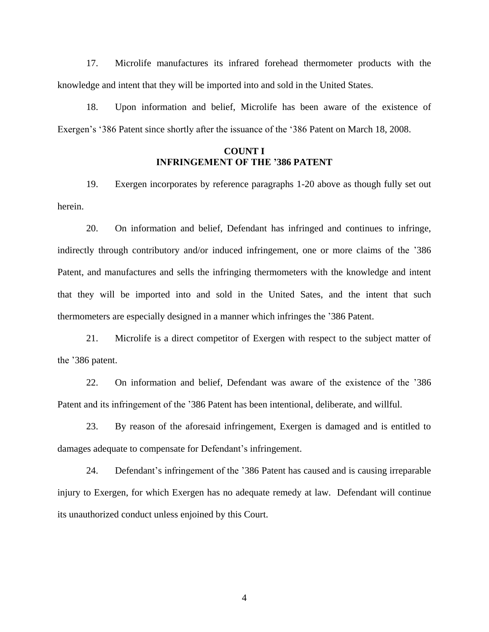17. Microlife manufactures its infrared forehead thermometer products with the knowledge and intent that they will be imported into and sold in the United States.

18. Upon information and belief, Microlife has been aware of the existence of Exergen's '386 Patent since shortly after the issuance of the '386 Patent on March 18, 2008.

# **COUNT I INFRINGEMENT OF THE '386 PATENT**

19. Exergen incorporates by reference paragraphs 1-20 above as though fully set out herein.

20. On information and belief, Defendant has infringed and continues to infringe, indirectly through contributory and/or induced infringement, one or more claims of the '386 Patent, and manufactures and sells the infringing thermometers with the knowledge and intent that they will be imported into and sold in the United Sates, and the intent that such thermometers are especially designed in a manner which infringes the '386 Patent.

21. Microlife is a direct competitor of Exergen with respect to the subject matter of the '386 patent.

22. On information and belief, Defendant was aware of the existence of the '386 Patent and its infringement of the '386 Patent has been intentional, deliberate, and willful.

23. By reason of the aforesaid infringement, Exergen is damaged and is entitled to damages adequate to compensate for Defendant's infringement.

24. Defendant's infringement of the '386 Patent has caused and is causing irreparable injury to Exergen, for which Exergen has no adequate remedy at law. Defendant will continue its unauthorized conduct unless enjoined by this Court.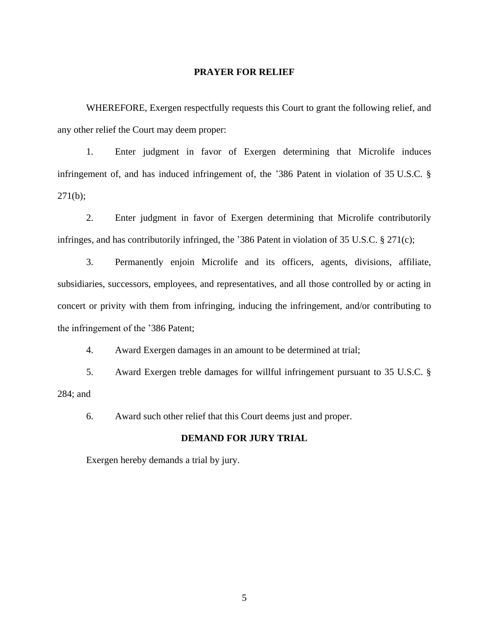### **PRAYER FOR RELIEF**

WHEREFORE, Exergen respectfully requests this Court to grant the following relief, and any other relief the Court may deem proper:

1. Enter judgment in favor of Exergen determining that Microlife induces infringement of, and has induced infringement of, the '386 Patent in violation of 35 U.S.C. §  $271(b);$ 

2. Enter judgment in favor of Exergen determining that Microlife contributorily infringes, and has contributorily infringed, the '386 Patent in violation of 35 U.S.C. § 271(c);

3. Permanently enjoin Microlife and its officers, agents, divisions, affiliate, subsidiaries, successors, employees, and representatives, and all those controlled by or acting in concert or privity with them from infringing, inducing the infringement, and/or contributing to the infringement of the '386 Patent;

4. Award Exergen damages in an amount to be determined at trial;

5. Award Exergen treble damages for willful infringement pursuant to 35 U.S.C. § 284; and

6. Award such other relief that this Court deems just and proper.

#### **DEMAND FOR JURY TRIAL**

Exergen hereby demands a trial by jury.